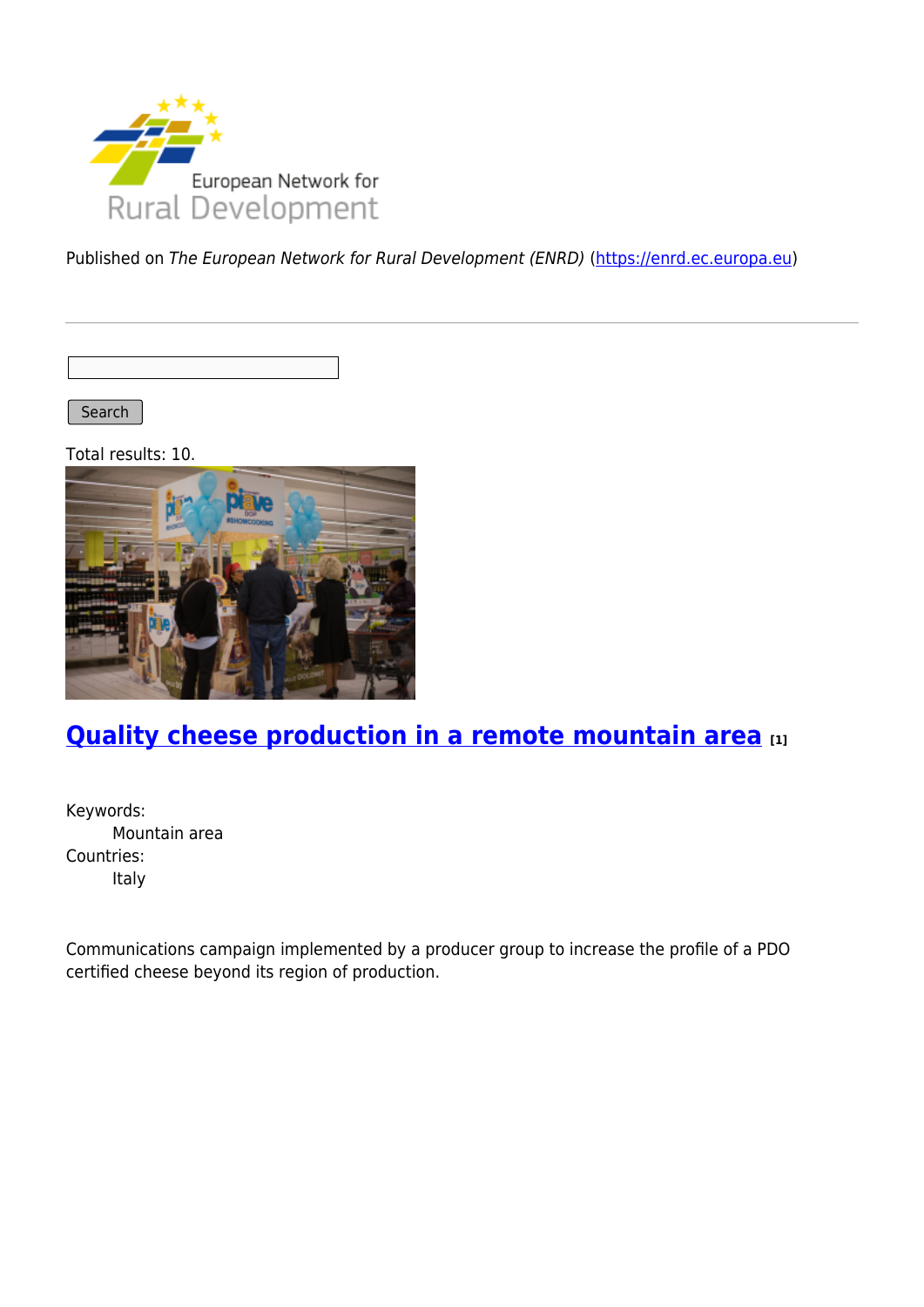

Published on The European Network for Rural Development (ENRD) [\(https://enrd.ec.europa.eu](https://enrd.ec.europa.eu))

Search |

Total results: 10.



## **[Quality cheese production in a remote mountain area](https://enrd.ec.europa.eu/projects-practice/quality-cheese-production-remote-mountain-area_en) [1]**

Keywords: Mountain area Countries: Italy

Communications campaign implemented by a producer group to increase the profile of a PDO certified cheese beyond its region of production.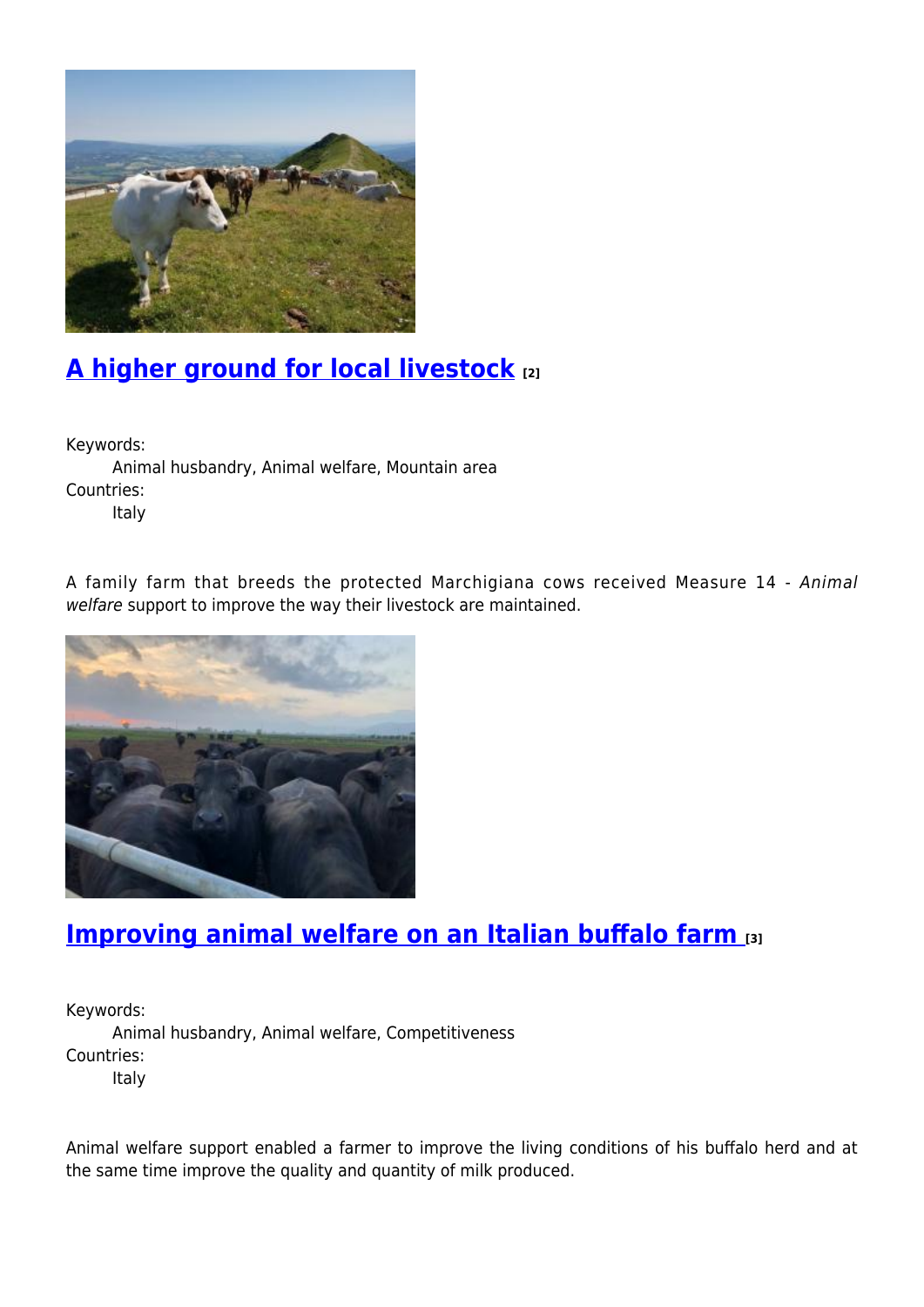

## **[A higher ground for local livestock](https://enrd.ec.europa.eu/projects-practice/higher-ground-local-livestock_en) [2]**

Keywords:

Animal husbandry, Animal welfare, Mountain area Countries:

Italy

A family farm that breeds the protected Marchigiana cows received Measure 14 - Animal welfare support to improve the way their livestock are maintained.



### **[Improving animal welfare on an Italian buffalo farm](https://enrd.ec.europa.eu/projects-practice/improving-animal-welfare-italian-buffalo-farm_en) [3]**

Keywords: Animal husbandry, Animal welfare, Competitiveness Countries: Italy

Animal welfare support enabled a farmer to improve the living conditions of his buffalo herd and at the same time improve the quality and quantity of milk produced.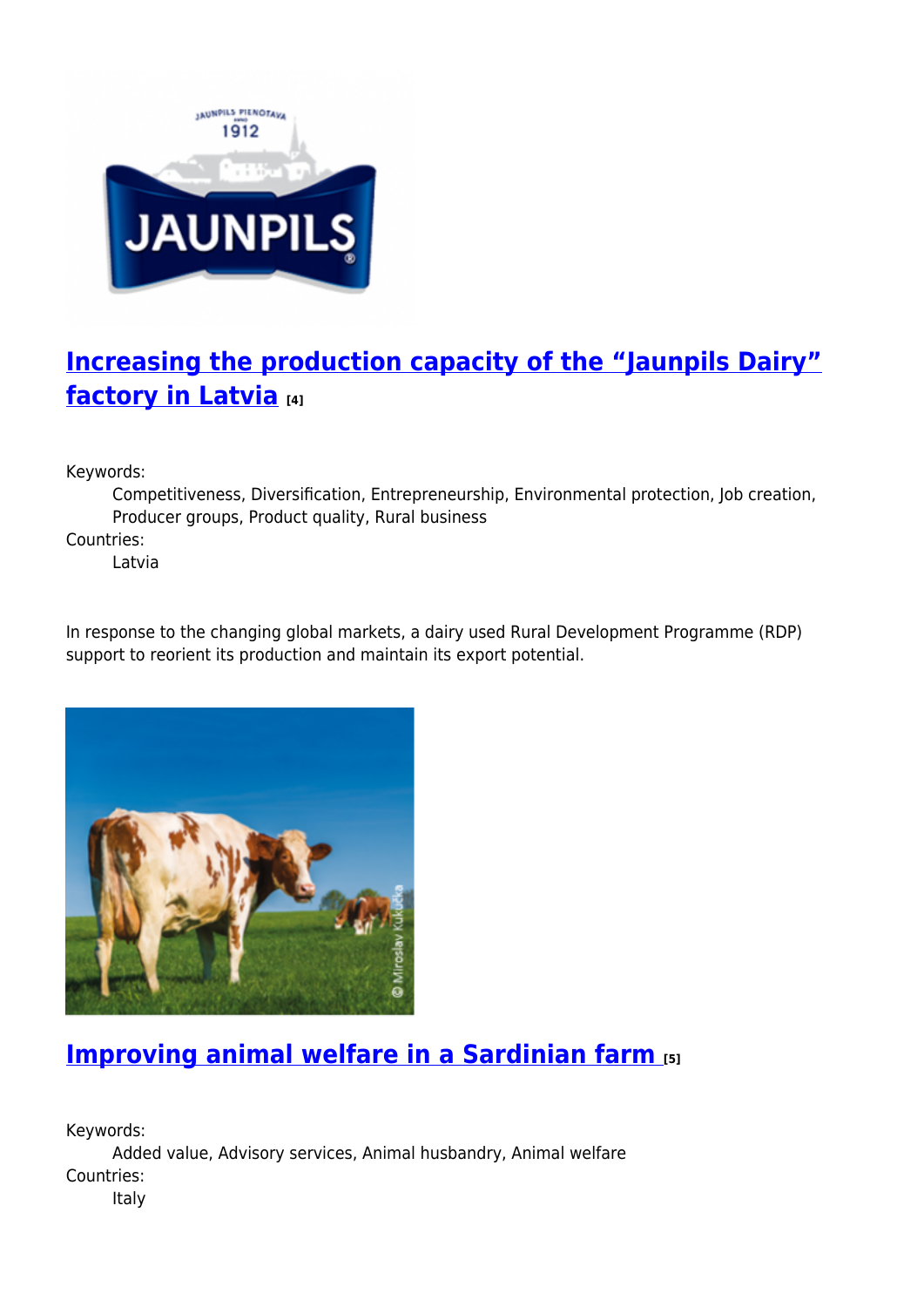

## **[Increasing the production capacity of the "Jaunpils Dairy"](https://enrd.ec.europa.eu/projects-practice/increasing-production-capacity-jaunpils-dairy-factory-latvia_en) [factory in Latvia](https://enrd.ec.europa.eu/projects-practice/increasing-production-capacity-jaunpils-dairy-factory-latvia_en) [4]**

Keywords:

Competitiveness, Diversification, Entrepreneurship, Environmental protection, Job creation, Producer groups, Product quality, Rural business

Countries:

Latvia

In response to the changing global markets, a dairy used Rural Development Programme (RDP) support to reorient its production and maintain its export potential.



## **[Improving animal welfare in a Sardinian farm](https://enrd.ec.europa.eu/projects-practice/improving-animal-welfare-sardinian-farm_en) [5]**

Keywords: Added value, Advisory services, Animal husbandry, Animal welfare Countries:

Italy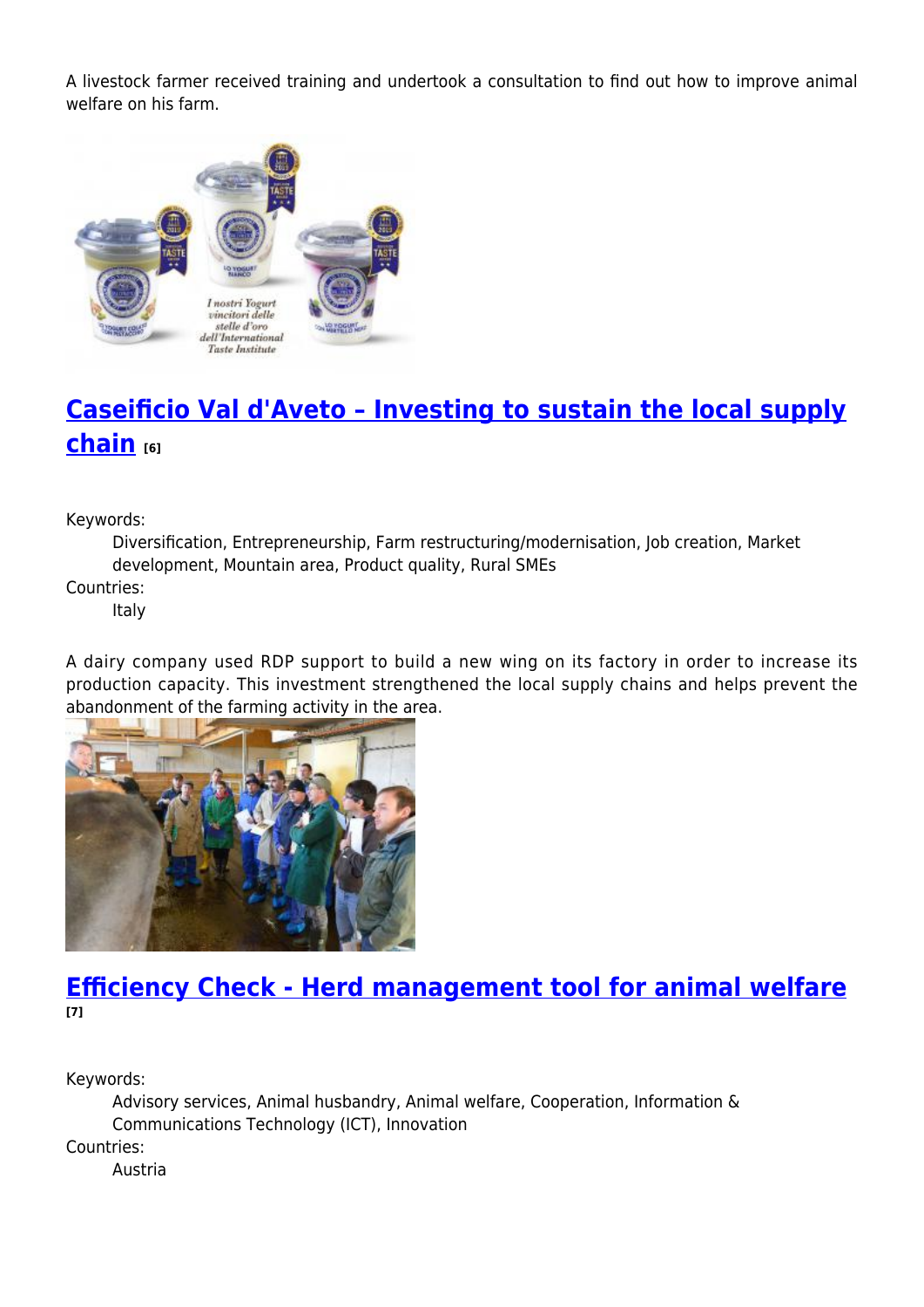A livestock farmer received training and undertook a consultation to find out how to improve animal welfare on his farm.



# **[Caseificio Val d'Aveto – Investing to sustain the local supply](https://enrd.ec.europa.eu/projects-practice/caseificio-val-daveto-investing-sustain-local-supply-chain_en) [chain](https://enrd.ec.europa.eu/projects-practice/caseificio-val-daveto-investing-sustain-local-supply-chain_en) [6]**

Keywords:

Diversification, Entrepreneurship, Farm restructuring/modernisation, Job creation, Market development, Mountain area, Product quality, Rural SMEs

Countries:

Italy

A dairy company used RDP support to build a new wing on its factory in order to increase its production capacity. This investment strengthened the local supply chains and helps prevent the abandonment of the farming activity in the area.



#### **[Efficiency Check - Herd management tool for animal welfare](https://enrd.ec.europa.eu/projects-practice/efficiency-check-herd-management-tool-animal-welfare_en) [7]**

Keywords:

Advisory services, Animal husbandry, Animal welfare, Cooperation, Information & Communications Technology (ICT), Innovation Countries: Austria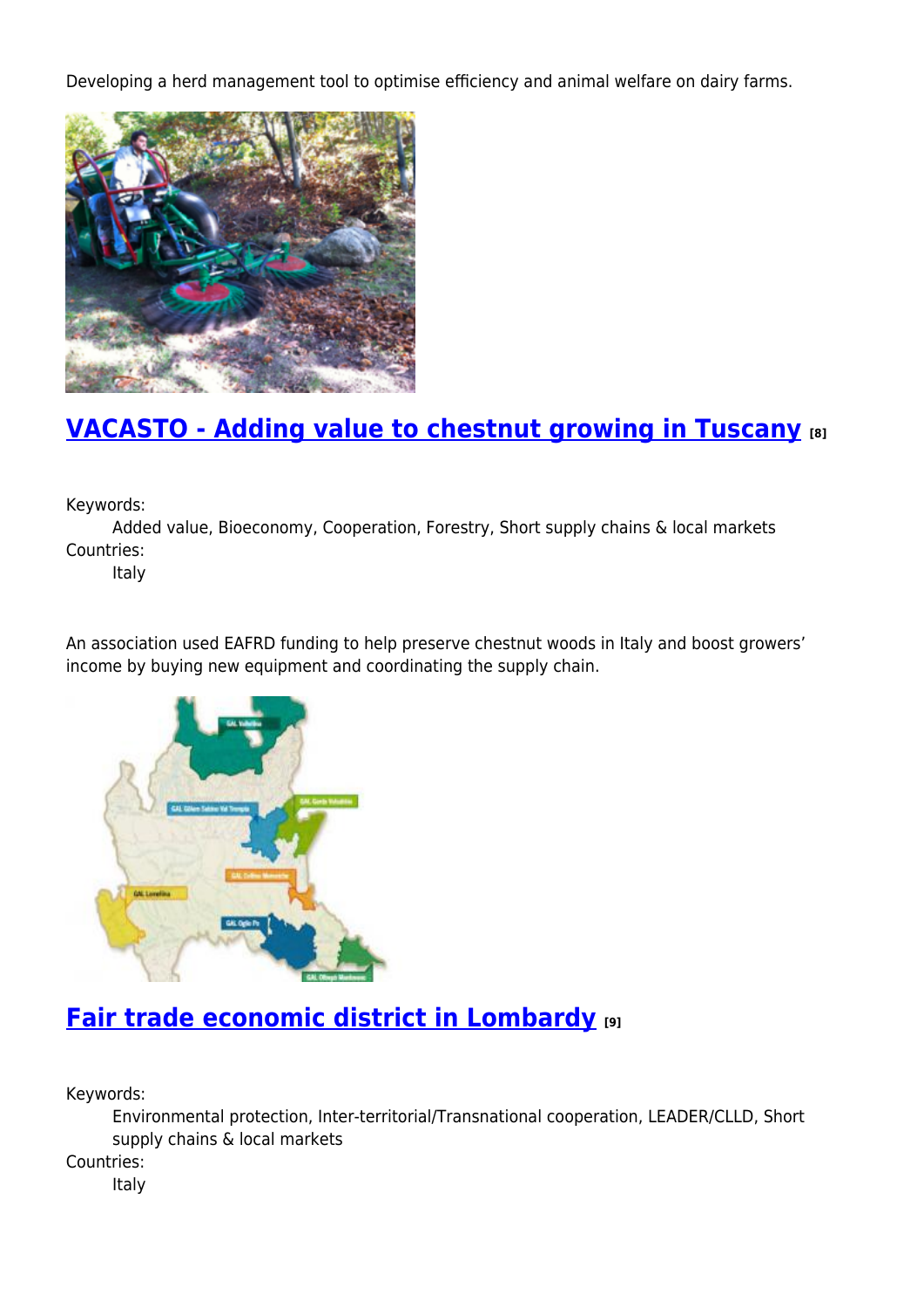Developing a herd management tool to optimise efficiency and animal welfare on dairy farms.



### **[VACASTO - Adding value to chestnut growing in Tuscany](https://enrd.ec.europa.eu/projects-practice/vacasto-adding-value-chestnut-growing-tuscany_en) [8]**

Keywords:

Added value, Bioeconomy, Cooperation, Forestry, Short supply chains & local markets Countries:

Italy

An association used EAFRD funding to help preserve chestnut woods in Italy and boost growers' income by buying new equipment and coordinating the supply chain.



### **[Fair trade economic district in Lombardy](https://enrd.ec.europa.eu/projects-practice/fair-trade-economic-district-lombardy_en) [9]**

Keywords:

Environmental protection, Inter-territorial/Transnational cooperation, LEADER/CLLD, Short supply chains & local markets

Countries:

Italy